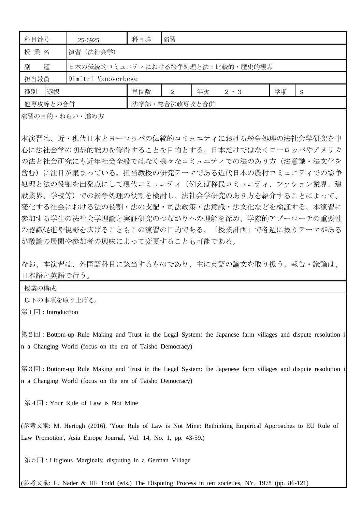| 科目番号                        | 25-6925                          | 科目群           | 演習 |    |             |    |   |
|-----------------------------|----------------------------------|---------------|----|----|-------------|----|---|
| 授業名                         | 演習 (法社会学)                        |               |    |    |             |    |   |
| 題<br>副                      | 日本の伝統的コミュニティにおける紛争処理と法:比較的・歴史的観点 |               |    |    |             |    |   |
| Dimitri Vanoverbeke<br>担当教員 |                                  |               |    |    |             |    |   |
| 選択<br>種別                    |                                  | 単位数           | 2  | 年次 | $2 \cdot 3$ | 学期 | S |
| 他専攻等との合併                    |                                  | 法学部・総合法政専攻と合併 |    |    |             |    |   |

演習の目的・ねらい・進め方

本演習は、近・現代日本とヨーロッパの伝統的コミュニティにおける紛争処理の法社会学研究を中 心に法社会学の初歩的能力を修得することを目的とする。日本だけではなくヨーロッパやアメリカ の法と社会研究にも近年社会全般ではなく様々なコミュニティでの法のあり方(法意識・法文化を 含む)に注目が集まっている。担当教授の研究テーマである近代日本の農村コミュニティでの紛争 処理と法の役割を出発点にして現代コミュニティ(例えば移民コミュニティ、ファション業界、建 設業界、学校等)での紛争処理の役割を検討し、法社会学研究のあり方を紹介することによって、 変化する社会における法の役割・法の支配・司法政策・法意識・法文化などを検証する。本演習に 参加する学生の法社会学理論と実証研究のつながりへの理解を深め、学際的アプーローチの重要性 の認識促進や視野を広げることもこの演習の目的である。「授業計画」で各週に扱うテーマがある が議論の展開や参加者の興味によって変更することも可能である。

## なお、本演習は、外国語科目に該当するものであり、主に英語の論文を取り扱う。報告・議論は、 日本語と英語で行う。

授業の構成

以下の事項を取り上げる。

第1回:Introduction

第2回:Bottom-up Rule Making and Trust in the Legal System: the Japanese farm villages and dispute resolution i n a Changing World (focus on the era of Taisho Democracy)

第3回:Bottom-up Rule Making and Trust in the Legal System: the Japanese farm villages and dispute resolution i n a Changing World (focus on the era of Taisho Democracy)

第4回:Your Rule of Law is Not Mine

(参考文献: M. Hertogh (2016), 'Your Rule of Law is Not Mine: Rethinking Empirical Approaches to EU Rule of Law Promotion', Asia Europe Journal, Vol. 14, No. 1, pp. 43-59.)

第5回:Litigious Marginals: disputing in a German Village

(参考文献: L. Nader & HF Todd (eds.) The Disputing Process in ten societies, NY, 1978 (pp. 86-121)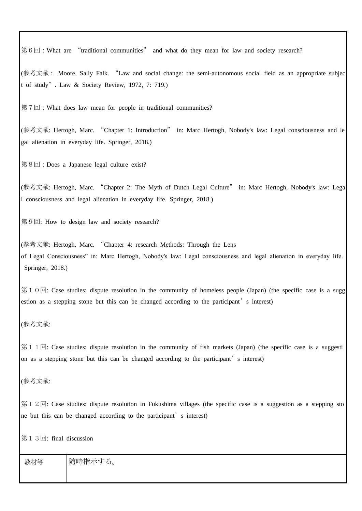第6回:What are "traditional communities" and what do they mean for law and society research?

(参考文献: Moore, Sally Falk. "Law and social change: the semi-autonomous social field as an appropriate subjec t of study". Law & Society Review, 1972, 7: 719.)

第7回:What does law mean for people in traditional communities?

(参考文献: Hertogh, Marc. "Chapter 1: Introduction" in: Marc Hertogh, Nobody's law: Legal consciousness and le gal alienation in everyday life. Springer, 2018.)

第8回:Does a Japanese legal culture exist?

(参考文献: Hertogh, Marc. "Chapter 2: The Myth of Dutch Legal Culture" in: Marc Hertogh, Nobody's law: Lega l consciousness and legal alienation in everyday life. Springer, 2018.)

第9回: How to design law and society research?

(参考文献: Hertogh, Marc. "Chapter 4: research Methods: Through the Lens of Legal Consciousness" in: Marc Hertogh, Nobody's law: Legal consciousness and legal alienation in everyday life. Springer, 2018.)

第10回: Case studies: dispute resolution in the community of homeless people (Japan) (the specific case is a sugg estion as a stepping stone but this can be changed according to the participant's interest)

(参考文献:

第11回: Case studies: dispute resolution in the community of fish markets (Japan) (the specific case is a suggesti on as a stepping stone but this can be changed according to the participant's interest)

(参考文献:

第12回: Case studies: dispute resolution in Fukushima villages (the specific case is a suggestion as a stepping sto ne but this can be changed according to the participant's interest)

第13回: final discussion

教材等 随時指示する。